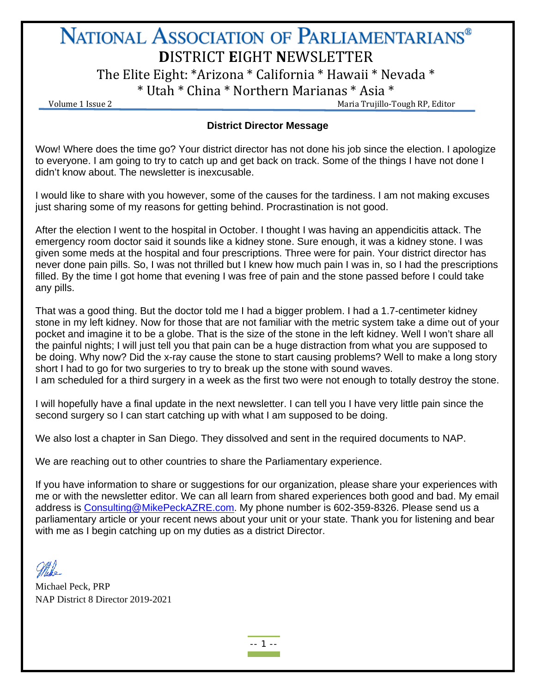# NATIONAL ASSOCIATION OF PARLIAMENTARIANS® **D**ISTRICT **E**IGHT **N**EWSLETTER

The Elite Eight: \*Arizona \* California \* Hawaii \* Nevada \*

 $*$  Utah  $*$  China  $*$  Northern Marianas  $*$  Asia  $*$  Volume 1 Issue 2

# **District Director Message**

Wow! Where does the time go? Your district director has not done his job since the election. I apologize to everyone. I am going to try to catch up and get back on track. Some of the things I have not done I didn't know about. The newsletter is inexcusable.

I would like to share with you however, some of the causes for the tardiness. I am not making excuses just sharing some of my reasons for getting behind. Procrastination is not good.

After the election I went to the hospital in October. I thought I was having an appendicitis attack. The emergency room doctor said it sounds like a kidney stone. Sure enough, it was a kidney stone. I was given some meds at the hospital and four prescriptions. Three were for pain. Your district director has never done pain pills. So, I was not thrilled but I knew how much pain I was in, so I had the prescriptions filled. By the time I got home that evening I was free of pain and the stone passed before I could take any pills.

That was a good thing. But the doctor told me I had a bigger problem. I had a 1.7-centimeter kidney stone in my left kidney. Now for those that are not familiar with the metric system take a dime out of your pocket and imagine it to be a globe. That is the size of the stone in the left kidney. Well I won't share all the painful nights; I will just tell you that pain can be a huge distraction from what you are supposed to be doing. Why now? Did the x-ray cause the stone to start causing problems? Well to make a long story short I had to go for two surgeries to try to break up the stone with sound waves. I am scheduled for a third surgery in a week as the first two were not enough to totally destroy the stone.

I will hopefully have a final update in the next newsletter. I can tell you I have very little pain since the second surgery so I can start catching up with what I am supposed to be doing.

We also lost a chapter in San Diego. They dissolved and sent in the required documents to NAP.

We are reaching out to other countries to share the Parliamentary experience.

If you have information to share or suggestions for our organization, please share your experiences with me or with the newsletter editor. We can all learn from shared experiences both good and bad. My email address is [Consulting@MikePeckAZRE.com.](mailto:Consulting@MikePeckAZRE.com) My phone number is 602-359-8326. Please send us a parliamentary article or your recent news about your unit or your state. Thank you for listening and bear with me as I begin catching up on my duties as a district Director.

Michael Peck, PRP NAP District 8 Director 2019-2021

-- 1 --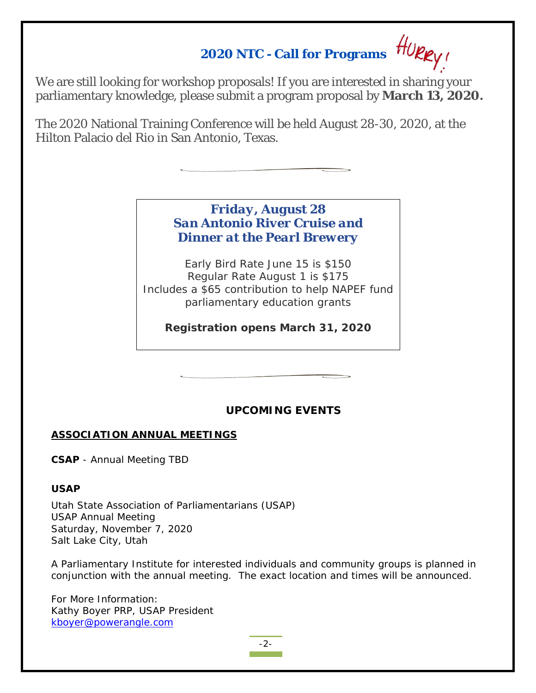# **2020 NTC - Call for Programs**

We are still looking for workshop proposals! If you are interested in sharing your parliamentary knowledge, please submit a program proposal by **March 13, 2020.**

The 2020 National Training Conference will be held August 28-30, 2020, at the Hilton Palacio del Rio in San Antonio, Texas.

# *Friday, August 28 San Antonio River Cruise and Dinner at the Pearl Brewery*

Early Bird Rate June 15 is \$150 Regular Rate August 1 is \$175 Includes a \$65 contribution to help NAPEF fund parliamentary education grants

**Registration opens March 31, 2020**

# **UPC***OMING EVENTS*

## **ASSOCIATION ANNUAL MEETINGS**

**CSAP** - Annual Meeting TBD

## **USAP**

Utah State Association of Parliamentarians (USAP) USAP Annual Meeting Saturday, November 7, 2020 Salt Lake City, Utah

A Parliamentary Institute for interested individuals and community groups is planned in conjunction with the annual meeting. The exact location and times will be announced.

For More Information: Kathy Boyer PRP, USAP President [kboyer@powerangle.com](mailto:kboyer@powerangle.com)

-2-